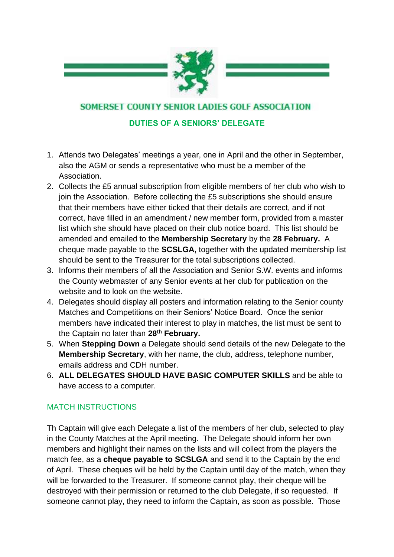

SOMERSET COUNTY SENIOR LADIES GOLF ASSOCIATION

## **DUTIES OF A SENIORS' DELEGATE**

- 1. Attends two Delegates' meetings a year, one in April and the other in September, also the AGM or sends a representative who must be a member of the Association.
- 2. Collects the £5 annual subscription from eligible members of her club who wish to join the Association. Before collecting the £5 subscriptions she should ensure that their members have either ticked that their details are correct, and if not correct, have filled in an amendment / new member form, provided from a master list which she should have placed on their club notice board. This list should be amended and emailed to the **Membership Secretary** by the **28 February.** A cheque made payable to the **SCSLGA,** together with the updated membership list should be sent to the Treasurer for the total subscriptions collected.
- 3. Informs their members of all the Association and Senior S.W. events and informs the County webmaster of any Senior events at her club for publication on the website and to look on the website.
- 4. Delegates should display all posters and information relating to the Senior county Matches and Competitions on their Seniors' Notice Board. Once the senior members have indicated their interest to play in matches, the list must be sent to the Captain no later than **28th February.**
- 5. When **Stepping Down** a Delegate should send details of the new Delegate to the **Membership Secretary**, with her name, the club, address, telephone number, emails address and CDH number.
- 6. **ALL DELEGATES SHOULD HAVE BASIC COMPUTER SKILLS** and be able to have access to a computer.

## MATCH INSTRUCTIONS

Th Captain will give each Delegate a list of the members of her club, selected to play in the County Matches at the April meeting. The Delegate should inform her own members and highlight their names on the lists and will collect from the players the match fee, as a **cheque payable to SCSLGA** and send it to the Captain by the end of April. These cheques will be held by the Captain until day of the match, when they will be forwarded to the Treasurer. If someone cannot play, their cheque will be destroyed with their permission or returned to the club Delegate, if so requested. If someone cannot play, they need to inform the Captain, as soon as possible. Those